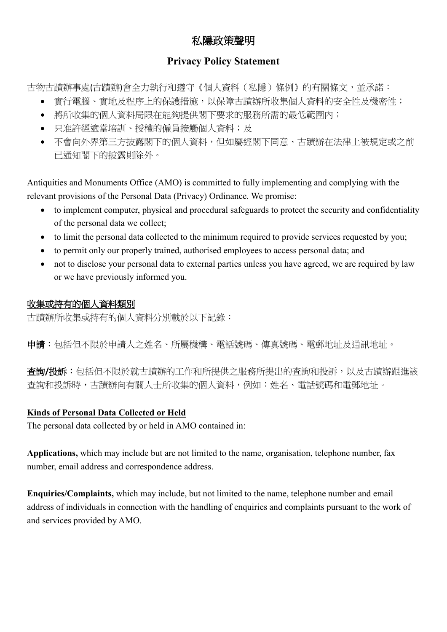# 私隱政策聲明

## **Privacy Policy Statement**

古物古蹟辦事處(古蹟辦)會全力執行和導守《個人資料(私隱)條例》的有關條文,並承諾:

- 實行電腦、實地及程序上的保護措施,以保障古蹟辦所收集個人資料的安全性及機密性;
- 將所收集的個人資料局限在能夠提供閣下要求的服務所需的最低範圍內;
- 只准許經滴當培訓、授權的僱員接觸個人資料;及
- 不會向外界第三方披露閣下的個人資料,但如屬經閣下同意、古蹟辦在法律上被規定或之前 已通知閣下的披露則除外。

Antiquities and Monuments Office (AMO) is committed to fully implementing and complying with the relevant provisions of the Personal Data (Privacy) Ordinance. We promise:

- to implement computer, physical and procedural safeguards to protect the security and confidentiality of the personal data we collect;
- to limit the personal data collected to the minimum required to provide services requested by you;
- to permit only our properly trained, authorised employees to access personal data; and
- not to disclose your personal data to external parties unless you have agreed, we are required by law or we have previously informed you.

# 收集或持有的個人資料類別

古蹟辦所收集或持有的個人資料分別載於以下記錄:

申請:包括但不限於申請人之姓名、所屬機構、電話號碼、傳真號碼、電郵地址及通訊地址。

查詢**/**投訴:包括但不限於就古蹟辦的工作和所提供之服務所提出的查詢和投訴,以及古蹟辦跟進該 查詢和投訴時,古蹟辦向有關人士所收集的個人資料,例如:姓名、電話號碼和電郵地址。

### **Kinds of Personal Data Collected or Held**

The personal data collected by or held in AMO contained in:

**Applications,** which may include but are not limited to the name, organisation, telephone number, fax number, email address and correspondence address.

**Enquiries/Complaints,** which may include, but not limited to the name, telephone number and email address of individuals in connection with the handling of enquiries and complaints pursuant to the work of and services provided by AMO.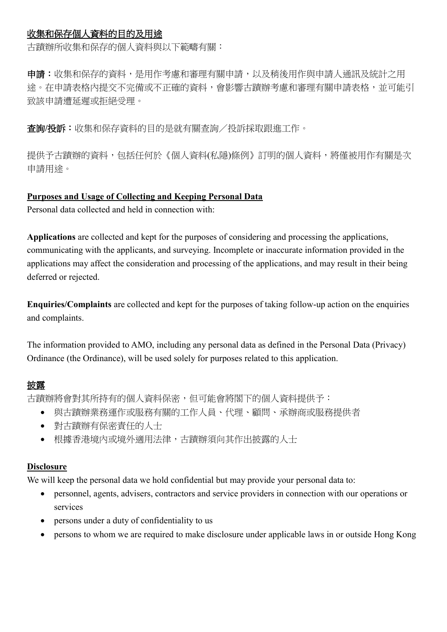### 收集和保存個人資料的目的及用途

古蹟辦所收集和保存的個人資料與以下範疇有關:

申請:收集和保存的資料,是用作考慮和審理有關申請,以及稍後用作與申請人通訊及統計之用 途。在申請表格內提交不完備或不正確的資料,會影響古蹟辦考慮和審理有關申請表格,並可能引 致該申請遭延遲或拒絕受理。

查詢**/**投訴:收集和保存資料的目的是就有關查詢/投訴採取跟進工作。

提供予古蹟辦的資料,包括任何於《個人資料(私隱)條例》訂明的個人資料,將僅被用作有關是次 申請用途。

#### **Purposes and Usage of Collecting and Keeping Personal Data**

Personal data collected and held in connection with:

**Applications** are collected and kept for the purposes of considering and processing the applications, communicating with the applicants, and surveying. Incomplete or inaccurate information provided in the applications may affect the consideration and processing of the applications, and may result in their being deferred or rejected.

**Enquiries/Complaints** are collected and kept for the purposes of taking follow-up action on the enquiries and complaints.

The information provided to AMO, including any personal data as defined in the Personal Data (Privacy) Ordinance (the Ordinance), will be used solely for purposes related to this application.

### 披露

古蹟辦將會對其所持有的個人資料保密,但可能會將閣下的個人資料提供予:

- 與古蹟辦業務運作或服務有關的工作人員、代理、顧問、承辦商或服務提供者
- 對古蹟辦有保密責任的人士
- 根據香港境內或境外適用法律,古蹟辦須向其作出披露的人士

#### **Disclosure**

We will keep the personal data we hold confidential but may provide your personal data to:

- personnel, agents, advisers, contractors and service providers in connection with our operations or services
- persons under a duty of confidentiality to us
- persons to whom we are required to make disclosure under applicable laws in or outside Hong Kong